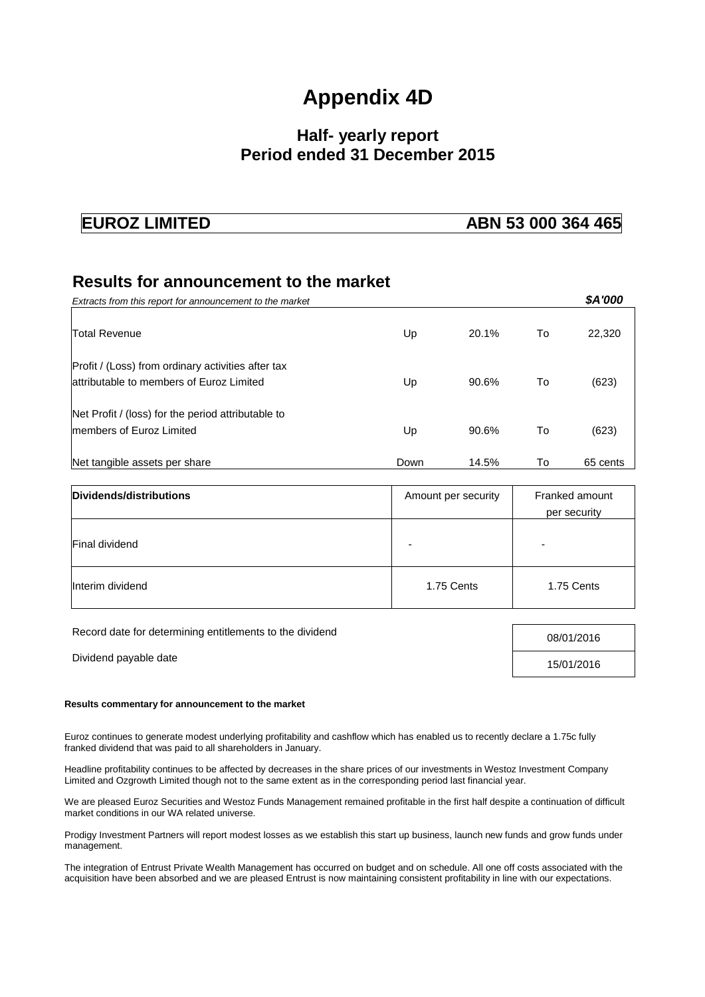# **Appendix 4D**

## **Half- yearly report Period ended 31 December 2015**

#### **EUROZ LIMITED ABN 53 000 364 465**

### **Results for announcement to the market**

| Extracts from this report for announcement to the market                                        |      |       |    | \$A'000  |
|-------------------------------------------------------------------------------------------------|------|-------|----|----------|
| Total Revenue                                                                                   | Up   | 20.1% | To | 22,320   |
| Profit / (Loss) from ordinary activities after tax<br>lattributable to members of Euroz Limited | Up   | 90.6% | To | (623)    |
| Net Profit / (loss) for the period attributable to<br>Imembers of Euroz Limited                 | Up   | 90.6% | To | (623)    |
| Net tangible assets per share                                                                   | Down | 14.5% | То | 65 cents |

| Dividends/distributions | Amount per security | Franked amount<br>per security |  |
|-------------------------|---------------------|--------------------------------|--|
| <b>Final dividend</b>   |                     | -                              |  |
| Interim dividend        | 1.75 Cents          | 1.75 Cents                     |  |

Record date for determining entitlements to the dividend 08/01/2016

# Dividend payable date 15/01/2016

#### **Results commentary for announcement to the market**

Euroz continues to generate modest underlying profitability and cashflow which has enabled us to recently declare a 1.75c fully franked dividend that was paid to all shareholders in January.

Headline profitability continues to be affected by decreases in the share prices of our investments in Westoz Investment Company Limited and Ozgrowth Limited though not to the same extent as in the corresponding period last financial year.

We are pleased Euroz Securities and Westoz Funds Management remained profitable in the first half despite a continuation of difficult market conditions in our WA related universe.

Prodigy Investment Partners will report modest losses as we establish this start up business, launch new funds and grow funds under management.

The integration of Entrust Private Wealth Management has occurred on budget and on schedule. All one off costs associated with the acquisition have been absorbed and we are pleased Entrust is now maintaining consistent profitability in line with our expectations.